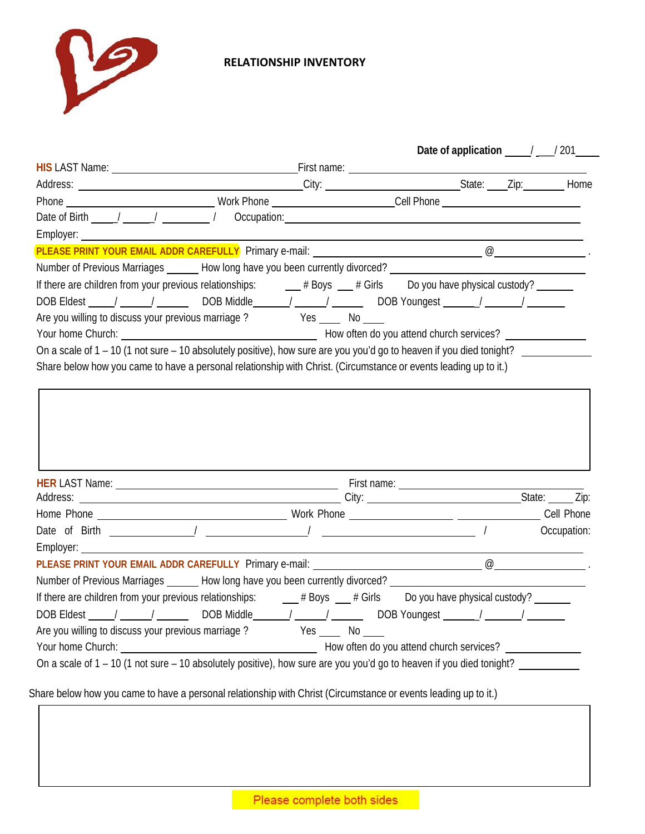

## **RELATIONSHIP INVENTORY**

|                                                                                                                                                                                                                                                                                                                                                                                                                                                                                                                                                                                                                                             |        | Date of application $\frac{1}{2}$ / 201 |  |
|---------------------------------------------------------------------------------------------------------------------------------------------------------------------------------------------------------------------------------------------------------------------------------------------------------------------------------------------------------------------------------------------------------------------------------------------------------------------------------------------------------------------------------------------------------------------------------------------------------------------------------------------|--------|-----------------------------------------|--|
| HIS LAST Name: <u>New York: Name: Service Service Service Service Service Service Service Service Service Service Service Service Service Service Service Service Service Service Service Service Service Service Service Servic</u>                                                                                                                                                                                                                                                                                                                                                                                                        |        |                                         |  |
|                                                                                                                                                                                                                                                                                                                                                                                                                                                                                                                                                                                                                                             |        |                                         |  |
|                                                                                                                                                                                                                                                                                                                                                                                                                                                                                                                                                                                                                                             |        |                                         |  |
|                                                                                                                                                                                                                                                                                                                                                                                                                                                                                                                                                                                                                                             |        |                                         |  |
|                                                                                                                                                                                                                                                                                                                                                                                                                                                                                                                                                                                                                                             |        |                                         |  |
|                                                                                                                                                                                                                                                                                                                                                                                                                                                                                                                                                                                                                                             |        |                                         |  |
| Number of Previous Marriages _______ How long have you been currently divorced? ______________________________                                                                                                                                                                                                                                                                                                                                                                                                                                                                                                                              |        |                                         |  |
|                                                                                                                                                                                                                                                                                                                                                                                                                                                                                                                                                                                                                                             |        |                                         |  |
| DOB Eldest _____/ ______/ ________ DOB Middle ______/ ______/ _______ DOB Youngest ______/ _______/ ________                                                                                                                                                                                                                                                                                                                                                                                                                                                                                                                                |        |                                         |  |
| Are you willing to discuss your previous marriage? Yes _____ No ____                                                                                                                                                                                                                                                                                                                                                                                                                                                                                                                                                                        |        |                                         |  |
|                                                                                                                                                                                                                                                                                                                                                                                                                                                                                                                                                                                                                                             |        |                                         |  |
| On a scale of 1 – 10 (1 not sure – 10 absolutely positive), how sure are you you'd go to heaven if you died tonight?                                                                                                                                                                                                                                                                                                                                                                                                                                                                                                                        |        |                                         |  |
| Share below how you came to have a personal relationship with Christ. (Circumstance or events leading up to it.)                                                                                                                                                                                                                                                                                                                                                                                                                                                                                                                            |        |                                         |  |
|                                                                                                                                                                                                                                                                                                                                                                                                                                                                                                                                                                                                                                             |        |                                         |  |
|                                                                                                                                                                                                                                                                                                                                                                                                                                                                                                                                                                                                                                             |        |                                         |  |
|                                                                                                                                                                                                                                                                                                                                                                                                                                                                                                                                                                                                                                             |        |                                         |  |
|                                                                                                                                                                                                                                                                                                                                                                                                                                                                                                                                                                                                                                             |        |                                         |  |
|                                                                                                                                                                                                                                                                                                                                                                                                                                                                                                                                                                                                                                             |        |                                         |  |
|                                                                                                                                                                                                                                                                                                                                                                                                                                                                                                                                                                                                                                             |        |                                         |  |
|                                                                                                                                                                                                                                                                                                                                                                                                                                                                                                                                                                                                                                             |        |                                         |  |
|                                                                                                                                                                                                                                                                                                                                                                                                                                                                                                                                                                                                                                             |        |                                         |  |
|                                                                                                                                                                                                                                                                                                                                                                                                                                                                                                                                                                                                                                             |        |                                         |  |
|                                                                                                                                                                                                                                                                                                                                                                                                                                                                                                                                                                                                                                             |        |                                         |  |
|                                                                                                                                                                                                                                                                                                                                                                                                                                                                                                                                                                                                                                             | Yes No |                                         |  |
| Number of Previous Marriages _______ How long have you been currently divorced? ______________________________<br>DOB Eldest ____/ _____/ ______ DOB Middle _____/ _____/ ______ DOB Youngest ______/ ______/ _______<br>Are you willing to discuss your previous marriage?<br>Your home Church: <u>Change Charles Change Charles Charles Charles Charles Charles Charles Charles Charles Charles Charles Charles Charles Charles Charles Charles Charles Charles Charles Charles Charles Charles Charles Charl</u><br>On a scale of 1 - 10 (1 not sure - 10 absolutely positive), how sure are you you'd go to heaven if you died tonight? |        |                                         |  |